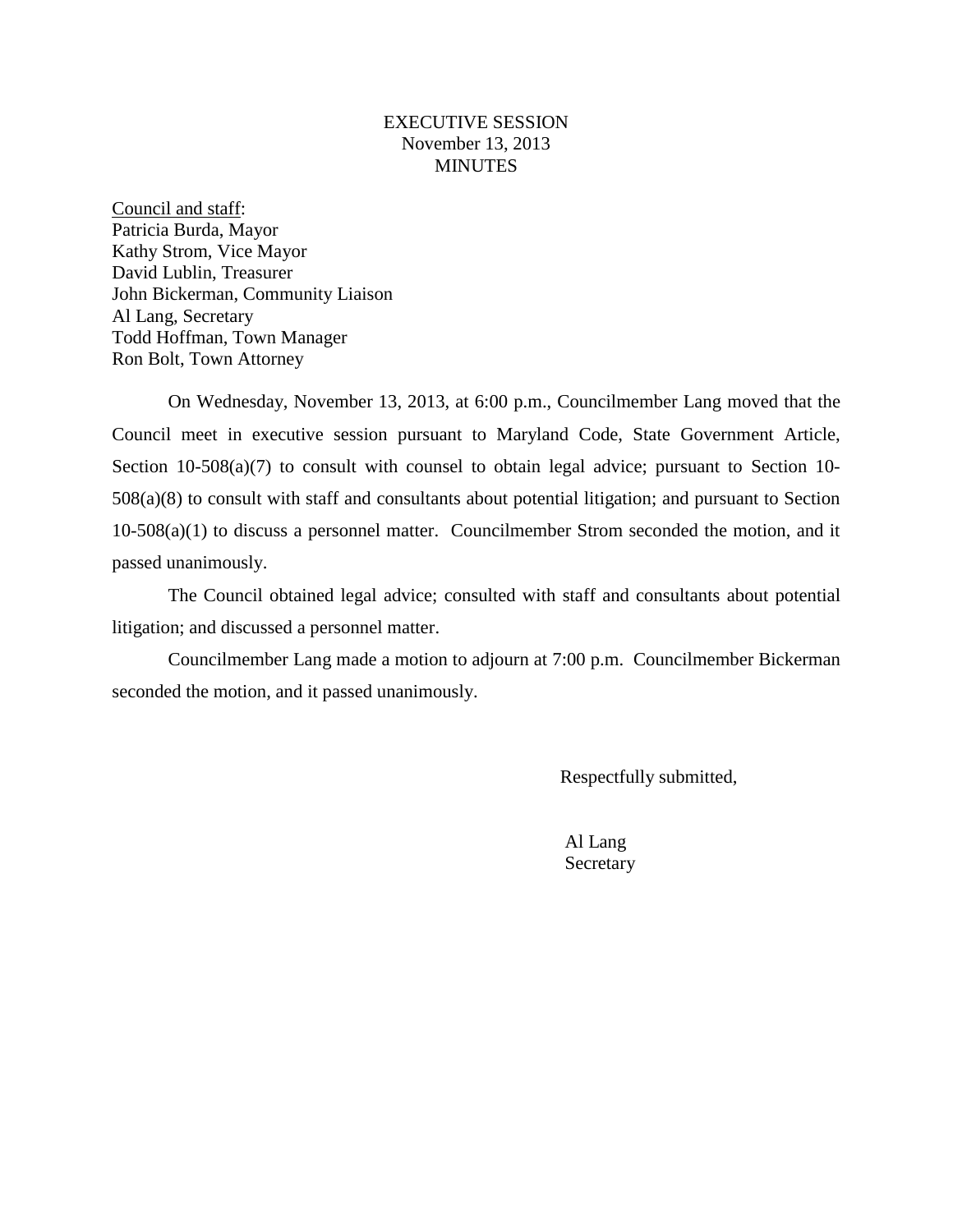#### EXECUTIVE SESSION November 13, 2013 **MINUTES**

Council and staff: Patricia Burda, Mayor Kathy Strom, Vice Mayor David Lublin, Treasurer John Bickerman, Community Liaison Al Lang, Secretary Todd Hoffman, Town Manager Ron Bolt, Town Attorney

On Wednesday, November 13, 2013, at 6:00 p.m., Councilmember Lang moved that the Council meet in executive session pursuant to Maryland Code, State Government Article, Section 10-508(a)(7) to consult with counsel to obtain legal advice; pursuant to Section 10-508(a)(8) to consult with staff and consultants about potential litigation; and pursuant to Section 10-508(a)(1) to discuss a personnel matter. Councilmember Strom seconded the motion, and it passed unanimously.

The Council obtained legal advice; consulted with staff and consultants about potential litigation; and discussed a personnel matter.

Councilmember Lang made a motion to adjourn at 7:00 p.m. Councilmember Bickerman seconded the motion, and it passed unanimously.

Respectfully submitted,

Al Lang Secretary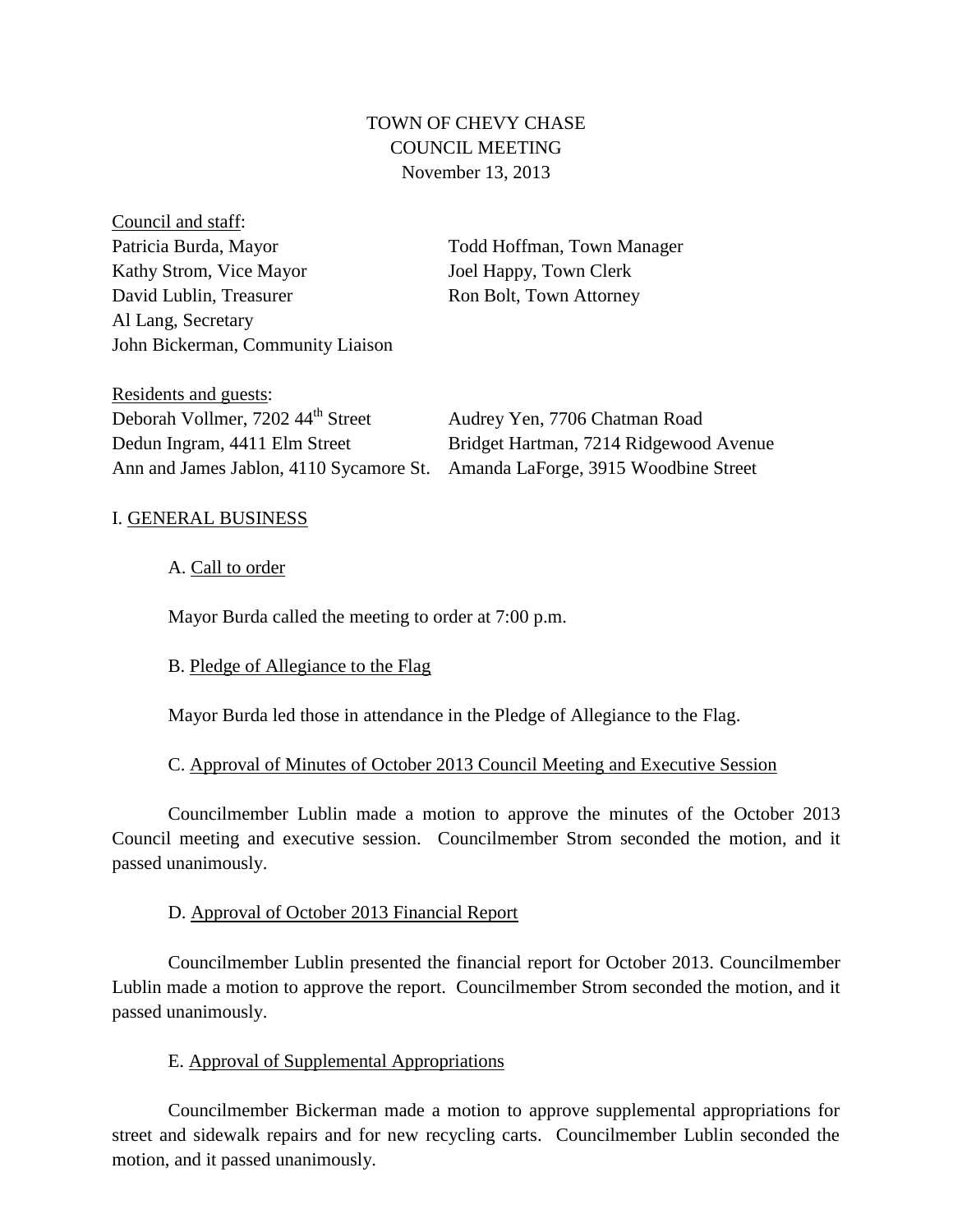# TOWN OF CHEVY CHASE COUNCIL MEETING November 13, 2013

Council and staff: Patricia Burda, Mayor Todd Hoffman, Town Manager Kathy Strom, Vice Mayor Joel Happy, Town Clerk David Lublin, Treasurer Ron Bolt, Town Attorney Al Lang, Secretary John Bickerman, Community Liaison

Residents and guests: Deborah Vollmer, 7202 44<sup>th</sup> Street Audrey Yen, 7706 Chatman Road Dedun Ingram, 4411 Elm Street Bridget Hartman, 7214 Ridgewood Avenue Ann and James Jablon, 4110 Sycamore St. Amanda LaForge, 3915 Woodbine Street

## I. GENERAL BUSINESS

## A. Call to order

Mayor Burda called the meeting to order at 7:00 p.m.

# B. Pledge of Allegiance to the Flag

Mayor Burda led those in attendance in the Pledge of Allegiance to the Flag.

# C. Approval of Minutes of October 2013 Council Meeting and Executive Session

Councilmember Lublin made a motion to approve the minutes of the October 2013 Council meeting and executive session. Councilmember Strom seconded the motion, and it passed unanimously.

## D. Approval of October 2013 Financial Report

Councilmember Lublin presented the financial report for October 2013. Councilmember Lublin made a motion to approve the report. Councilmember Strom seconded the motion, and it passed unanimously.

## E. Approval of Supplemental Appropriations

Councilmember Bickerman made a motion to approve supplemental appropriations for street and sidewalk repairs and for new recycling carts. Councilmember Lublin seconded the motion, and it passed unanimously.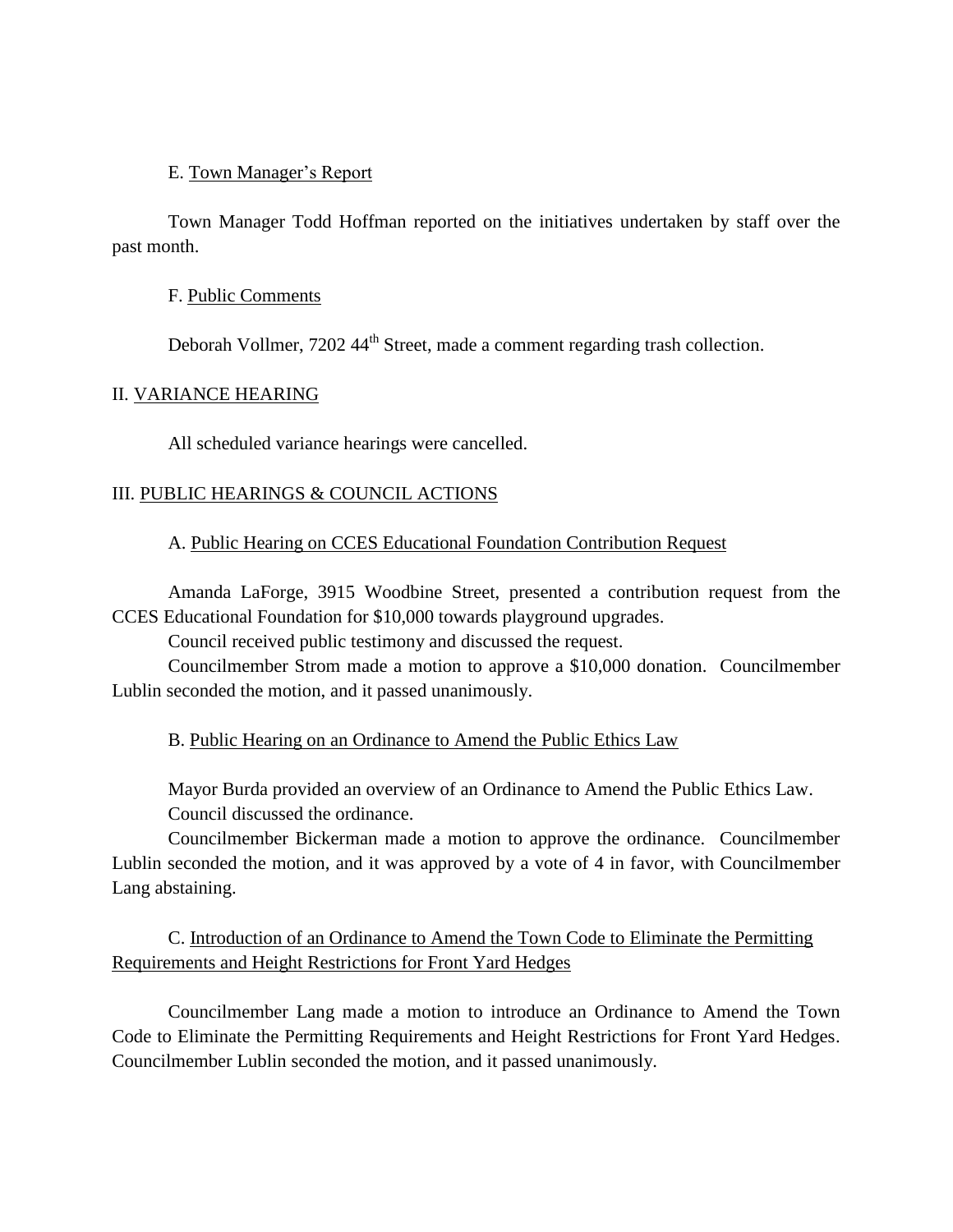#### E. Town Manager's Report

Town Manager Todd Hoffman reported on the initiatives undertaken by staff over the past month.

#### F. Public Comments

Deborah Vollmer, 7202 44<sup>th</sup> Street, made a comment regarding trash collection.

#### II. VARIANCE HEARING

All scheduled variance hearings were cancelled.

#### III. PUBLIC HEARINGS & COUNCIL ACTIONS

#### A. Public Hearing on CCES Educational Foundation Contribution Request

Amanda LaForge, 3915 Woodbine Street, presented a contribution request from the CCES Educational Foundation for \$10,000 towards playground upgrades.

Council received public testimony and discussed the request.

Councilmember Strom made a motion to approve a \$10,000 donation. Councilmember Lublin seconded the motion, and it passed unanimously.

#### B. Public Hearing on an Ordinance to Amend the Public Ethics Law

Mayor Burda provided an overview of an Ordinance to Amend the Public Ethics Law. Council discussed the ordinance.

Councilmember Bickerman made a motion to approve the ordinance. Councilmember Lublin seconded the motion, and it was approved by a vote of 4 in favor, with Councilmember Lang abstaining.

## C. Introduction of an Ordinance to Amend the Town Code to Eliminate the Permitting Requirements and Height Restrictions for Front Yard Hedges

Councilmember Lang made a motion to introduce an Ordinance to Amend the Town Code to Eliminate the Permitting Requirements and Height Restrictions for Front Yard Hedges. Councilmember Lublin seconded the motion, and it passed unanimously.